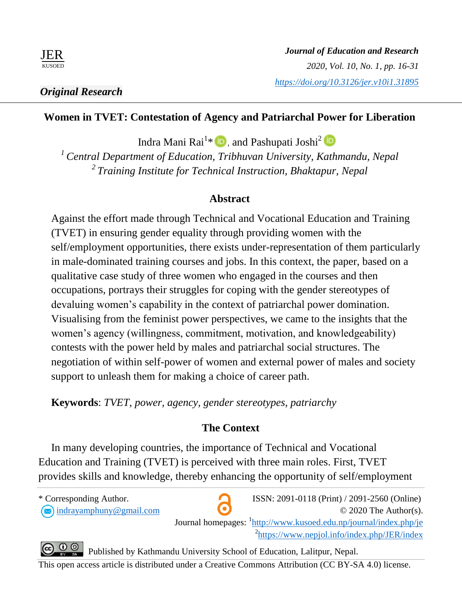

### *Original Research*

# **Women in TVET: Contestation of Agency and Patriarchal Power for Liberation**

Indra Mani Rai<sup>1\*</sup> D, and Pashupati Joshi<sup>2</sup>

*<sup>1</sup> Central Department of Education, Tribhuvan University, Kathmandu, Nepal <sup>2</sup>Training Institute for Technical Instruction, Bhaktapur, Nepal*

### **Abstract**

Against the effort made through Technical and Vocational Education and Training (TVET) in ensuring gender equality through providing women with the self/employment opportunities, there exists under-representation of them particularly in male-dominated training courses and jobs. In this context, the paper, based on a qualitative case study of three women who engaged in the courses and then occupations, portrays their struggles for coping with the gender stereotypes of devaluing women's capability in the context of patriarchal power domination. Visualising from the feminist power perspectives, we came to the insights that the women's agency (willingness, commitment, motivation, and knowledgeability) contests with the power held by males and patriarchal social structures. The negotiation of within self-power of women and external power of males and society support to unleash them for making a choice of career path.

**Keywords**: *TVET, power, agency, gender stereotypes, patriarchy*

#### **The Context**

In many developing countries, the importance of Technical and Vocational Education and Training (TVET) is perceived with three main roles. First, TVET provides skills and knowledge, thereby enhancing the opportunity of self/employment

| * Corresponding Author.                                                                                     |   | ISSN: 2091-0118 (Print) / 2091-2560 (Online)                                                                                               |
|-------------------------------------------------------------------------------------------------------------|---|--------------------------------------------------------------------------------------------------------------------------------------------|
| $\circled{m}$ indrayamphuny@gmail.com                                                                       | 6 | $\odot$ 2020 The Author(s).                                                                                                                |
|                                                                                                             |   | Journal homepages: $\frac{1 \text{http://www.kusoed.edu,np/journal/index.php/je}}{1 \text{http://www.kusoed.edu,np/journal/index.php/je}}$ |
|                                                                                                             |   | $\mu$ <sup>2</sup> https://www.nepjol.info/index.php/JER/index                                                                             |
| $\bigcirc$ $\bigcirc$ $\bigcirc$<br>Published by Kathmandu University School of Education, Lalitpur, Nepal. |   |                                                                                                                                            |

This open access article is distributed under a Creative Commons Attribution (CC BY-SA 4.0) license.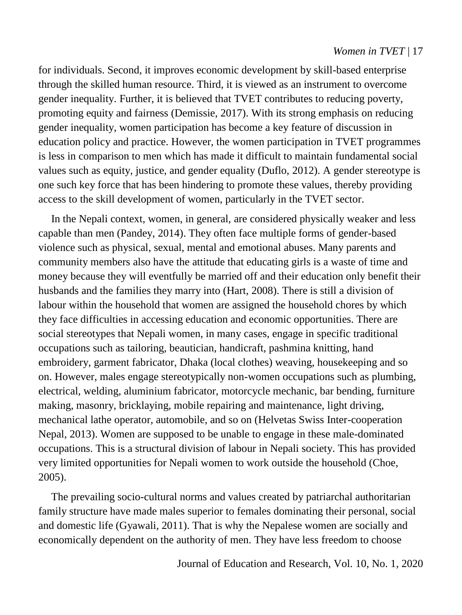for individuals. Second, it improves economic development by skill-based enterprise through the skilled human resource. Third, it is viewed as an instrument to overcome gender inequality. Further, it is believed that TVET contributes to reducing poverty, promoting equity and fairness (Demissie, 2017). With its strong emphasis on reducing gender inequality, women participation has become a key feature of discussion in education policy and practice. However, the women participation in TVET programmes is less in comparison to men which has made it difficult to maintain fundamental social values such as equity, justice, and gender equality (Duflo, 2012). A gender stereotype is one such key force that has been hindering to promote these values, thereby providing access to the skill development of women, particularly in the TVET sector.

In the Nepali context, women, in general, are considered physically weaker and less capable than men (Pandey, 2014). They often face multiple forms of gender-based violence such as physical, sexual, mental and emotional abuses. Many parents and community members also have the attitude that educating girls is a waste of time and money because they will eventfully be married off and their education only benefit their husbands and the families they marry into (Hart, 2008). There is still a division of labour within the household that women are assigned the household chores by which they face difficulties in accessing education and economic opportunities. There are social stereotypes that Nepali women, in many cases, engage in specific traditional occupations such as tailoring, beautician, handicraft, pashmina knitting, hand embroidery, garment fabricator, Dhaka (local clothes) weaving, housekeeping and so on. However, males engage stereotypically non-women occupations such as plumbing, electrical, welding, aluminium fabricator, motorcycle mechanic, bar bending, furniture making, masonry, bricklaying, mobile repairing and maintenance, light driving, mechanical lathe operator, automobile, and so on (Helvetas Swiss Inter-cooperation Nepal, 2013). Women are supposed to be unable to engage in these male-dominated occupations. This is a structural division of labour in Nepali society. This has provided very limited opportunities for Nepali women to work outside the household (Choe, 2005).

The prevailing socio-cultural norms and values created by patriarchal authoritarian family structure have made males superior to females dominating their personal, social and domestic life (Gyawali, 2011). That is why the Nepalese women are socially and economically dependent on the authority of men. They have less freedom to choose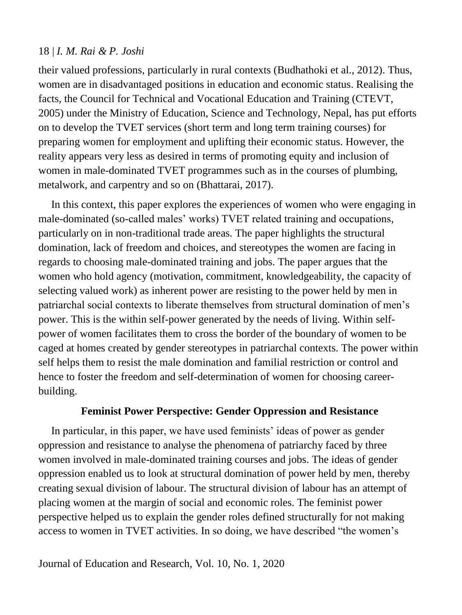their valued professions, particularly in rural contexts (Budhathoki et al., 2012). Thus, women are in disadvantaged positions in education and economic status. Realising the facts, the Council for Technical and Vocational Education and Training (CTEVT, 2005) under the Ministry of Education, Science and Technology, Nepal, has put efforts on to develop the TVET services (short term and long term training courses) for preparing women for employment and uplifting their economic status. However, the reality appears very less as desired in terms of promoting equity and inclusion of women in male-dominated TVET programmes such as in the courses of plumbing, metalwork, and carpentry and so on (Bhattarai, 2017).

In this context, this paper explores the experiences of women who were engaging in male-dominated (so-called males' works) TVET related training and occupations, particularly on in non-traditional trade areas. The paper highlights the structural domination, lack of freedom and choices, and stereotypes the women are facing in regards to choosing male-dominated training and jobs. The paper argues that the women who hold agency (motivation, commitment, knowledgeability, the capacity of selecting valued work) as inherent power are resisting to the power held by men in patriarchal social contexts to liberate themselves from structural domination of men's power. This is the within self-power generated by the needs of living. Within selfpower of women facilitates them to cross the border of the boundary of women to be caged at homes created by gender stereotypes in patriarchal contexts. The power within self helps them to resist the male domination and familial restriction or control and hence to foster the freedom and self-determination of women for choosing careerbuilding.

# **Feminist Power Perspective: Gender Oppression and Resistance**

In particular, in this paper, we have used feminists' ideas of power as gender oppression and resistance to analyse the phenomena of patriarchy faced by three women involved in male-dominated training courses and jobs. The ideas of gender oppression enabled us to look at structural domination of power held by men, thereby creating sexual division of labour. The structural division of labour has an attempt of placing women at the margin of social and economic roles. The feminist power perspective helped us to explain the gender roles defined structurally for not making access to women in TVET activities. In so doing, we have described "the women's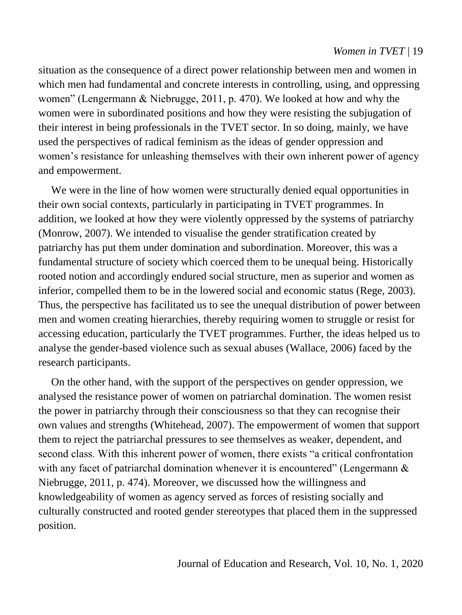### *Women in TVET* | 19

situation as the consequence of a direct power relationship between men and women in which men had fundamental and concrete interests in controlling, using, and oppressing women" (Lengermann & Niebrugge, 2011, p. 470). We looked at how and why the women were in subordinated positions and how they were resisting the subjugation of their interest in being professionals in the TVET sector. In so doing, mainly, we have used the perspectives of radical feminism as the ideas of gender oppression and women's resistance for unleashing themselves with their own inherent power of agency and empowerment.

We were in the line of how women were structurally denied equal opportunities in their own social contexts, particularly in participating in TVET programmes. In addition, we looked at how they were violently oppressed by the systems of patriarchy (Monrow, 2007). We intended to visualise the gender stratification created by patriarchy has put them under domination and subordination. Moreover, this was a fundamental structure of society which coerced them to be unequal being. Historically rooted notion and accordingly endured social structure, men as superior and women as inferior, compelled them to be in the lowered social and economic status (Rege, 2003). Thus, the perspective has facilitated us to see the unequal distribution of power between men and women creating hierarchies, thereby requiring women to struggle or resist for accessing education, particularly the TVET programmes. Further, the ideas helped us to analyse the gender-based violence such as sexual abuses (Wallace, 2006) faced by the research participants.

On the other hand, with the support of the perspectives on gender oppression, we analysed the resistance power of women on patriarchal domination. The women resist the power in patriarchy through their consciousness so that they can recognise their own values and strengths (Whitehead, 2007). The empowerment of women that support them to reject the patriarchal pressures to see themselves as weaker, dependent, and second class. With this inherent power of women, there exists "a critical confrontation with any facet of patriarchal domination whenever it is encountered" (Lengermann  $\&$ Niebrugge, 2011, p. 474). Moreover, we discussed how the willingness and knowledgeability of women as agency served as forces of resisting socially and culturally constructed and rooted gender stereotypes that placed them in the suppressed position.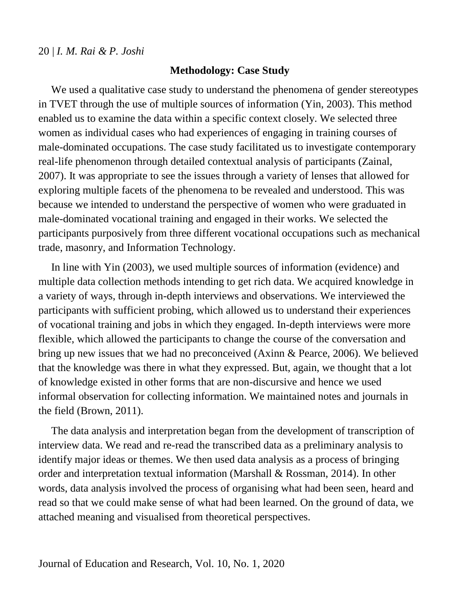#### **Methodology: Case Study**

We used a qualitative case study to understand the phenomena of gender stereotypes in TVET through the use of multiple sources of information (Yin, 2003). This method enabled us to examine the data within a specific context closely. We selected three women as individual cases who had experiences of engaging in training courses of male-dominated occupations. The case study facilitated us to investigate contemporary real-life phenomenon through detailed contextual analysis of participants (Zainal, 2007). It was appropriate to see the issues through a variety of lenses that allowed for exploring multiple facets of the phenomena to be revealed and understood. This was because we intended to understand the perspective of women who were graduated in male-dominated vocational training and engaged in their works. We selected the participants purposively from three different vocational occupations such as mechanical trade, masonry, and Information Technology.

In line with Yin (2003), we used multiple sources of information (evidence) and multiple data collection methods intending to get rich data. We acquired knowledge in a variety of ways, through in-depth interviews and observations. We interviewed the participants with sufficient probing, which allowed us to understand their experiences of vocational training and jobs in which they engaged. In-depth interviews were more flexible, which allowed the participants to change the course of the conversation and bring up new issues that we had no preconceived (Axinn & Pearce, 2006). We believed that the knowledge was there in what they expressed. But, again, we thought that a lot of knowledge existed in other forms that are non-discursive and hence we used informal observation for collecting information. We maintained notes and journals in the field (Brown, 2011).

The data analysis and interpretation began from the development of transcription of interview data. We read and re-read the transcribed data as a preliminary analysis to identify major ideas or themes. We then used data analysis as a process of bringing order and interpretation textual information (Marshall & Rossman, 2014). In other words, data analysis involved the process of organising what had been seen, heard and read so that we could make sense of what had been learned. On the ground of data, we attached meaning and visualised from theoretical perspectives.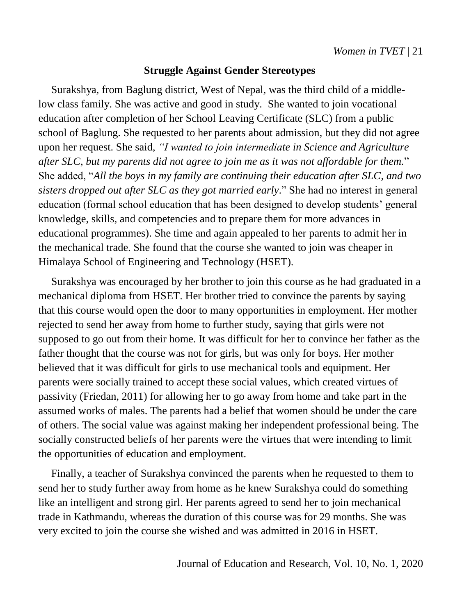# **Struggle Against Gender Stereotypes**

Surakshya, from Baglung district, West of Nepal, was the third child of a middlelow class family. She was active and good in study. She wanted to join vocational education after completion of her School Leaving Certificate (SLC) from a public school of Baglung. She requested to her parents about admission, but they did not agree upon her request. She said, *"I wanted to join intermediate in Science and Agriculture after SLC, but my parents did not agree to join me as it was not affordable for them.*" She added, "*All the boys in my family are continuing their education after SLC, and two sisters dropped out after SLC as they got married early*." She had no interest in general education (formal school education that has been designed to develop students' general knowledge, skills, and competencies and to prepare them for more advances in educational programmes). She time and again appealed to her parents to admit her in the mechanical trade. She found that the course she wanted to join was cheaper in Himalaya School of Engineering and Technology (HSET).

Surakshya was encouraged by her brother to join this course as he had graduated in a mechanical diploma from HSET. Her brother tried to convince the parents by saying that this course would open the door to many opportunities in employment. Her mother rejected to send her away from home to further study, saying that girls were not supposed to go out from their home. It was difficult for her to convince her father as the father thought that the course was not for girls, but was only for boys. Her mother believed that it was difficult for girls to use mechanical tools and equipment. Her parents were socially trained to accept these social values, which created virtues of passivity (Friedan, 2011) for allowing her to go away from home and take part in the assumed works of males. The parents had a belief that women should be under the care of others. The social value was against making her independent professional being. The socially constructed beliefs of her parents were the virtues that were intending to limit the opportunities of education and employment.

Finally, a teacher of Surakshya convinced the parents when he requested to them to send her to study further away from home as he knew Surakshya could do something like an intelligent and strong girl. Her parents agreed to send her to join mechanical trade in Kathmandu, whereas the duration of this course was for 29 months. She was very excited to join the course she wished and was admitted in 2016 in HSET.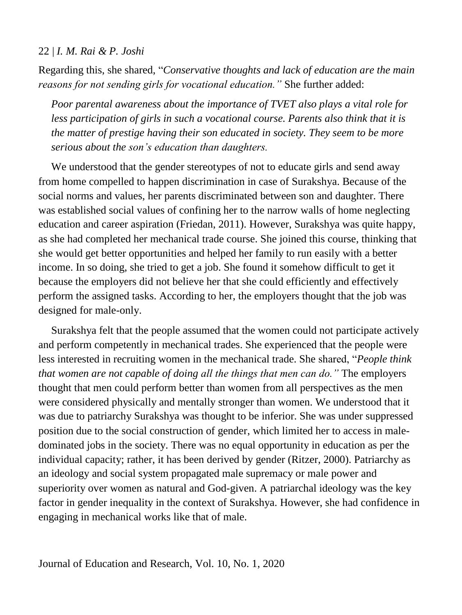Regarding this, she shared, "*Conservative thoughts and lack of education are the main reasons for not sending girls for vocational education."* She further added:

*Poor parental awareness about the importance of TVET also plays a vital role for less participation of girls in such a vocational course. Parents also think that it is the matter of prestige having their son educated in society. They seem to be more serious about the son's education than daughters.*

We understood that the gender stereotypes of not to educate girls and send away from home compelled to happen discrimination in case of Surakshya. Because of the social norms and values, her parents discriminated between son and daughter. There was established social values of confining her to the narrow walls of home neglecting education and career aspiration (Friedan, 2011). However, Surakshya was quite happy, as she had completed her mechanical trade course. She joined this course, thinking that she would get better opportunities and helped her family to run easily with a better income. In so doing, she tried to get a job. She found it somehow difficult to get it because the employers did not believe her that she could efficiently and effectively perform the assigned tasks. According to her, the employers thought that the job was designed for male-only.

Surakshya felt that the people assumed that the women could not participate actively and perform competently in mechanical trades. She experienced that the people were less interested in recruiting women in the mechanical trade. She shared, "*People think that women are not capable of doing all the things that men can do."* The employers thought that men could perform better than women from all perspectives as the men were considered physically and mentally stronger than women. We understood that it was due to patriarchy Surakshya was thought to be inferior. She was under suppressed position due to the social construction of gender, which limited her to access in maledominated jobs in the society. There was no equal opportunity in education as per the individual capacity; rather, it has been derived by gender (Ritzer, 2000). Patriarchy as an ideology and social system propagated male supremacy or male power and superiority over women as natural and God-given. A patriarchal ideology was the key factor in gender inequality in the context of Surakshya. However, she had confidence in engaging in mechanical works like that of male.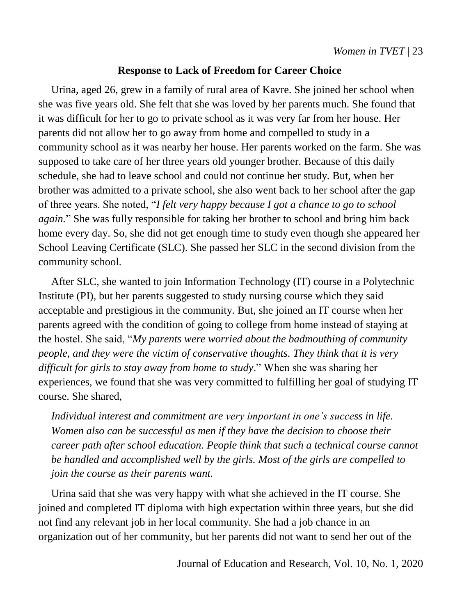### **Response to Lack of Freedom for Career Choice**

Urina, aged 26, grew in a family of rural area of Kavre. She joined her school when she was five years old. She felt that she was loved by her parents much. She found that it was difficult for her to go to private school as it was very far from her house. Her parents did not allow her to go away from home and compelled to study in a community school as it was nearby her house. Her parents worked on the farm. She was supposed to take care of her three years old younger brother. Because of this daily schedule, she had to leave school and could not continue her study. But, when her brother was admitted to a private school, she also went back to her school after the gap of three years. She noted, "*I felt very happy because I got a chance to go to school again.*" She was fully responsible for taking her brother to school and bring him back home every day. So, she did not get enough time to study even though she appeared her School Leaving Certificate (SLC). She passed her SLC in the second division from the community school.

After SLC, she wanted to join Information Technology (IT) course in a Polytechnic Institute (PI), but her parents suggested to study nursing course which they said acceptable and prestigious in the community. But, she joined an IT course when her parents agreed with the condition of going to college from home instead of staying at the hostel. She said, "*My parents were worried about the badmouthing of community people, and they were the victim of conservative thoughts. They think that it is very difficult for girls to stay away from home to study*." When she was sharing her experiences, we found that she was very committed to fulfilling her goal of studying IT course. She shared,

*Individual interest and commitment are very important in one's success in life. Women also can be successful as men if they have the decision to choose their career path after school education. People think that such a technical course cannot be handled and accomplished well by the girls. Most of the girls are compelled to join the course as their parents want.*

Urina said that she was very happy with what she achieved in the IT course. She joined and completed IT diploma with high expectation within three years, but she did not find any relevant job in her local community. She had a job chance in an organization out of her community, but her parents did not want to send her out of the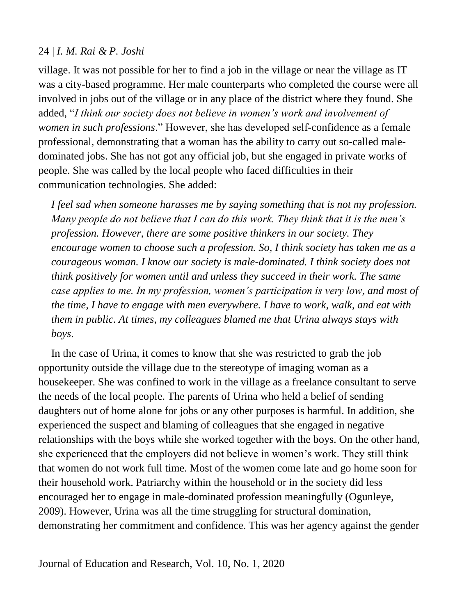village. It was not possible for her to find a job in the village or near the village as IT was a city-based programme. Her male counterparts who completed the course were all involved in jobs out of the village or in any place of the district where they found. She added, "*I think our society does not believe in women's work and involvement of women in such professions*." However, she has developed self-confidence as a female professional, demonstrating that a woman has the ability to carry out so-called maledominated jobs. She has not got any official job, but she engaged in private works of people. She was called by the local people who faced difficulties in their communication technologies. She added:

*I feel sad when someone harasses me by saying something that is not my profession. Many people do not believe that I can do this work. They think that it is the men's profession. However, there are some positive thinkers in our society. They encourage women to choose such a profession. So, I think society has taken me as a courageous woman. I know our society is male-dominated. I think society does not think positively for women until and unless they succeed in their work. The same case applies to me. In my profession, women's participation is very low, and most of the time, I have to engage with men everywhere. I have to work, walk, and eat with them in public. At times, my colleagues blamed me that Urina always stays with boys*.

In the case of Urina, it comes to know that she was restricted to grab the job opportunity outside the village due to the stereotype of imaging woman as a housekeeper. She was confined to work in the village as a freelance consultant to serve the needs of the local people. The parents of Urina who held a belief of sending daughters out of home alone for jobs or any other purposes is harmful. In addition, she experienced the suspect and blaming of colleagues that she engaged in negative relationships with the boys while she worked together with the boys. On the other hand, she experienced that the employers did not believe in women's work. They still think that women do not work full time. Most of the women come late and go home soon for their household work. Patriarchy within the household or in the society did less encouraged her to engage in male-dominated profession meaningfully (Ogunleye, 2009). However, Urina was all the time struggling for structural domination, demonstrating her commitment and confidence. This was her agency against the gender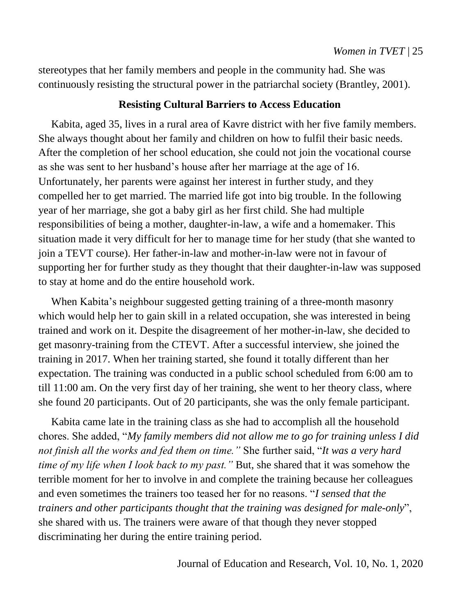stereotypes that her family members and people in the community had. She was continuously resisting the structural power in the patriarchal society (Brantley, 2001).

#### **Resisting Cultural Barriers to Access Education**

Kabita, aged 35, lives in a rural area of Kavre district with her five family members. She always thought about her family and children on how to fulfil their basic needs. After the completion of her school education, she could not join the vocational course as she was sent to her husband's house after her marriage at the age of 16. Unfortunately, her parents were against her interest in further study, and they compelled her to get married. The married life got into big trouble. In the following year of her marriage, she got a baby girl as her first child. She had multiple responsibilities of being a mother, daughter-in-law, a wife and a homemaker. This situation made it very difficult for her to manage time for her study (that she wanted to join a TEVT course). Her father-in-law and mother-in-law were not in favour of supporting her for further study as they thought that their daughter-in-law was supposed to stay at home and do the entire household work.

When Kabita's neighbour suggested getting training of a three-month masonry which would help her to gain skill in a related occupation, she was interested in being trained and work on it. Despite the disagreement of her mother-in-law, she decided to get masonry-training from the CTEVT. After a successful interview, she joined the training in 2017. When her training started, she found it totally different than her expectation. The training was conducted in a public school scheduled from 6:00 am to till 11:00 am. On the very first day of her training, she went to her theory class, where she found 20 participants. Out of 20 participants, she was the only female participant.

Kabita came late in the training class as she had to accomplish all the household chores. She added, "*My family members did not allow me to go for training unless I did not finish all the works and fed them on time."* She further said, "*It was a very hard time of my life when I look back to my past."* But, she shared that it was somehow the terrible moment for her to involve in and complete the training because her colleagues and even sometimes the trainers too teased her for no reasons. "*I sensed that the trainers and other participants thought that the training was designed for male-only*", she shared with us. The trainers were aware of that though they never stopped discriminating her during the entire training period.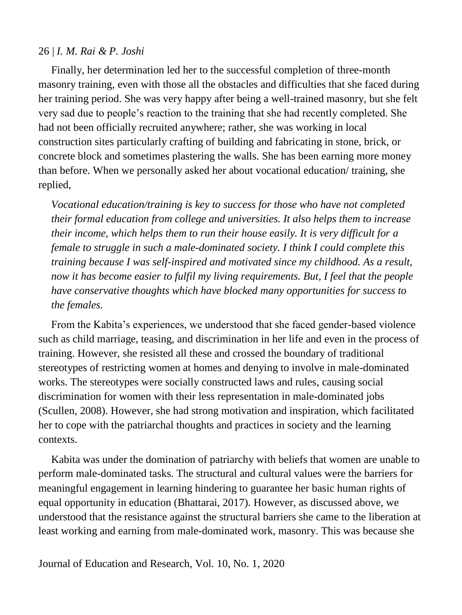Finally, her determination led her to the successful completion of three-month masonry training, even with those all the obstacles and difficulties that she faced during her training period. She was very happy after being a well-trained masonry, but she felt very sad due to people's reaction to the training that she had recently completed. She had not been officially recruited anywhere; rather, she was working in local construction sites particularly crafting of building and fabricating in stone, brick, or concrete block and sometimes plastering the walls. She has been earning more money than before. When we personally asked her about vocational education/ training, she replied,

*Vocational education/training is key to success for those who have not completed their formal education from college and universities. It also helps them to increase their income, which helps them to run their house easily. It is very difficult for a female to struggle in such a male-dominated society. I think I could complete this training because I was self-inspired and motivated since my childhood. As a result, now it has become easier to fulfil my living requirements. But, I feel that the people have conservative thoughts which have blocked many opportunities for success to the females.*

From the Kabita's experiences, we understood that she faced gender-based violence such as child marriage, teasing, and discrimination in her life and even in the process of training. However, she resisted all these and crossed the boundary of traditional stereotypes of restricting women at homes and denying to involve in male-dominated works. The stereotypes were socially constructed laws and rules, causing social discrimination for women with their less representation in male-dominated jobs (Scullen, 2008). However, she had strong motivation and inspiration, which facilitated her to cope with the patriarchal thoughts and practices in society and the learning contexts.

Kabita was under the domination of patriarchy with beliefs that women are unable to perform male-dominated tasks. The structural and cultural values were the barriers for meaningful engagement in learning hindering to guarantee her basic human rights of equal opportunity in education (Bhattarai, 2017). However, as discussed above, we understood that the resistance against the structural barriers she came to the liberation at least working and earning from male-dominated work, masonry. This was because she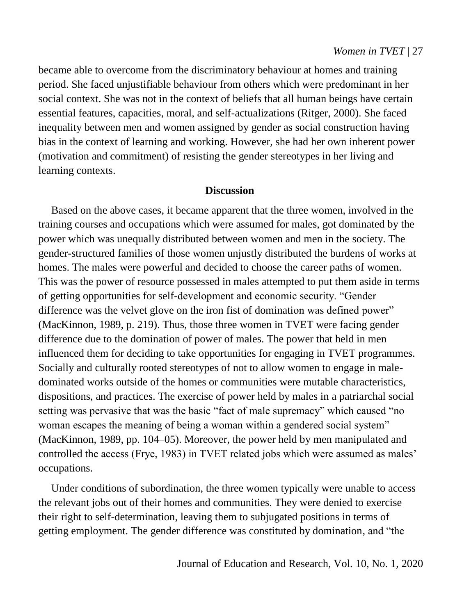became able to overcome from the discriminatory behaviour at homes and training period. She faced unjustifiable behaviour from others which were predominant in her social context. She was not in the context of beliefs that all human beings have certain essential features, capacities, moral, and self-actualizations (Ritger, 2000). She faced inequality between men and women assigned by gender as social construction having bias in the context of learning and working. However, she had her own inherent power (motivation and commitment) of resisting the gender stereotypes in her living and learning contexts.

#### **Discussion**

Based on the above cases, it became apparent that the three women, involved in the training courses and occupations which were assumed for males, got dominated by the power which was unequally distributed between women and men in the society. The gender-structured families of those women unjustly distributed the burdens of works at homes. The males were powerful and decided to choose the career paths of women. This was the power of resource possessed in males attempted to put them aside in terms of getting opportunities for self-development and economic security. "Gender difference was the velvet glove on the iron fist of domination was defined power" (MacKinnon, 1989, p. 219). Thus, those three women in TVET were facing gender difference due to the domination of power of males. The power that held in men influenced them for deciding to take opportunities for engaging in TVET programmes. Socially and culturally rooted stereotypes of not to allow women to engage in maledominated works outside of the homes or communities were mutable characteristics, dispositions, and practices. The exercise of power held by males in a patriarchal social setting was pervasive that was the basic "fact of male supremacy" which caused "no woman escapes the meaning of being a woman within a gendered social system" (MacKinnon, 1989, pp. 104–05). Moreover, the power held by men manipulated and controlled the access (Frye, 1983) in TVET related jobs which were assumed as males' occupations.

Under conditions of subordination, the three women typically were unable to access the relevant jobs out of their homes and communities. They were denied to exercise their right to self-determination, leaving them to subjugated positions in terms of getting employment. The gender difference was constituted by domination, and "the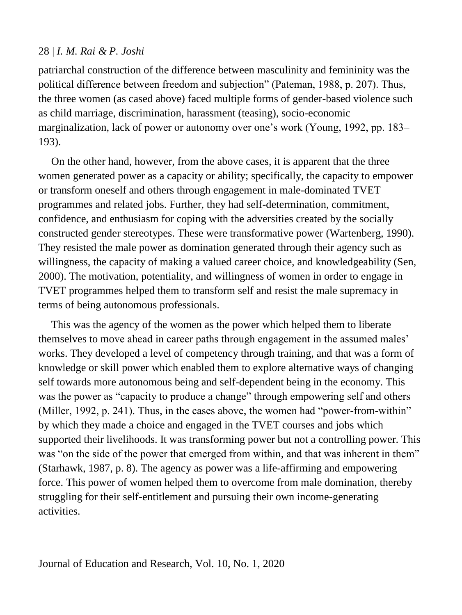patriarchal construction of the difference between masculinity and femininity was the political difference between freedom and subjection" (Pateman, 1988, p. 207). Thus, the three women (as cased above) faced multiple forms of gender-based violence such as child marriage, discrimination, harassment (teasing), socio-economic marginalization, lack of power or autonomy over one's work (Young, 1992, pp. 183– 193).

On the other hand, however, from the above cases, it is apparent that the three women generated power as a capacity or ability; specifically, the capacity to empower or transform oneself and others through engagement in male-dominated TVET programmes and related jobs. Further, they had self-determination, commitment, confidence, and enthusiasm for coping with the adversities created by the socially constructed gender stereotypes. These were transformative power (Wartenberg, 1990). They resisted the male power as domination generated through their agency such as willingness, the capacity of making a valued career choice, and knowledgeability (Sen, 2000). The motivation, potentiality, and willingness of women in order to engage in TVET programmes helped them to transform self and resist the male supremacy in terms of being autonomous professionals.

This was the agency of the women as the power which helped them to liberate themselves to move ahead in career paths through engagement in the assumed males' works. They developed a level of competency through training, and that was a form of knowledge or skill power which enabled them to explore alternative ways of changing self towards more autonomous being and self-dependent being in the economy. This was the power as "capacity to produce a change" through empowering self and others (Miller, 1992, p. 241). Thus, in the cases above, the women had "power-from-within" by which they made a choice and engaged in the TVET courses and jobs which supported their livelihoods. It was transforming power but not a controlling power. This was "on the side of the power that emerged from within, and that was inherent in them" (Starhawk, 1987, p. 8). The agency as power was a life-affirming and empowering force. This power of women helped them to overcome from male domination, thereby struggling for their self-entitlement and pursuing their own income-generating activities.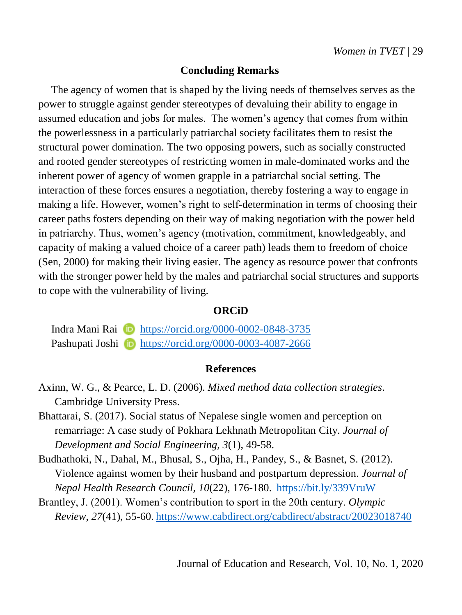# **Concluding Remarks**

The agency of women that is shaped by the living needs of themselves serves as the power to struggle against gender stereotypes of devaluing their ability to engage in assumed education and jobs for males. The women's agency that comes from within the powerlessness in a particularly patriarchal society facilitates them to resist the structural power domination. The two opposing powers, such as socially constructed and rooted gender stereotypes of restricting women in male-dominated works and the inherent power of agency of women grapple in a patriarchal social setting. The interaction of these forces ensures a negotiation, thereby fostering a way to engage in making a life. However, women's right to self-determination in terms of choosing their career paths fosters depending on their way of making negotiation with the power held in patriarchy. Thus, women's agency (motivation, commitment, knowledgeably, and capacity of making a valued choice of a career path) leads them to freedom of choice (Sen, 2000) for making their living easier. The agency as resource power that confronts with the stronger power held by the males and patriarchal social structures and supports to cope with the vulnerability of living.

# **ORCiD**

Indra Mani Rai <https://orcid.org/0000-0002-0848-3735> Pashupati Joshi **b** <https://orcid.org/0000-0003-4087-2666>

# **References**

- Axinn, W. G., & Pearce, L. D. (2006). *Mixed method data collection strategies*. Cambridge University Press.
- Bhattarai, S. (2017). Social status of Nepalese single women and perception on remarriage: A case study of Pokhara Lekhnath Metropolitan City. *Journal of Development and Social Engineering*, *3*(1), 49-58.
- Budhathoki, N., Dahal, M., Bhusal, S., Ojha, H., Pandey, S., & Basnet, S. (2012). Violence against women by their husband and postpartum depression. *Journal of Nepal Health Research Council, 10*(22), 176-180. <https://bit.ly/339VruW>
- Brantley, J. (2001). Women's contribution to sport in the 20th century. *Olympic Review*, *27*(41), 55-60. <https://www.cabdirect.org/cabdirect/abstract/20023018740>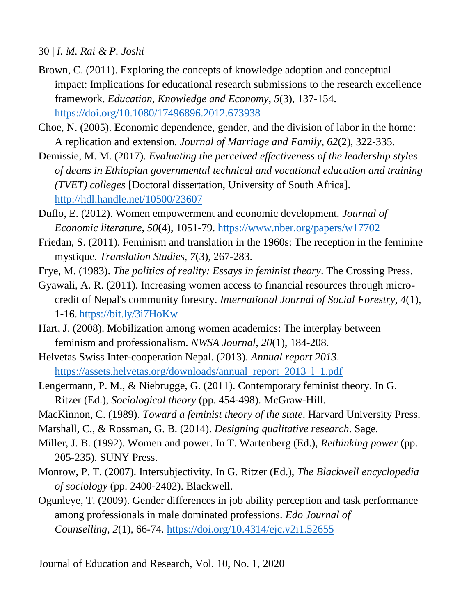- Brown, C. (2011). Exploring the concepts of knowledge adoption and conceptual impact: Implications for educational research submissions to the research excellence framework. *Education, Knowledge and Economy*, *5*(3), 137-154. <https://doi.org/10.1080/17496896.2012.673938>
- Choe, N. (2005). Economic dependence, gender, and the division of labor in the home: A replication and extension. *Journal of Marriage and Family, 62*(2), 322-335.
- Demissie, M. M. (2017). *Evaluating the perceived effectiveness of the leadership styles of deans in Ethiopian governmental technical and vocational education and training (TVET) colleges* [Doctoral dissertation, University of South Africa]. <http://hdl.handle.net/10500/23607>
- Duflo, E. (2012). Women empowerment and economic development. *Journal of Economic literature*, *50*(4), 1051-79. <https://www.nber.org/papers/w17702>
- Friedan, S. (2011). Feminism and translation in the 1960s: The reception in the feminine mystique. *Translation Studies, 7*(3), 267-283.
- Frye, M. (1983). *The politics of reality: Essays in feminist theory*. The Crossing Press.
- Gyawali, A. R. (2011). Increasing women access to financial resources through microcredit of Nepal's community forestry. *International Journal of Social Forestry, 4*(1), 1-16. <https://bit.ly/3i7HoKw>
- Hart, J. (2008). Mobilization among women academics: The interplay between feminism and professionalism. *NWSA Journal, 20*(1), 184-208.
- Helvetas Swiss Inter-cooperation Nepal. (2013). *Annual report 2013*. [https://assets.helvetas.org/downloads/annual\\_report\\_2013\\_l\\_1.pdf](https://assets.helvetas.org/downloads/annual_report_2013_l_1.pdf)
- Lengermann, P. M., & Niebrugge, G. (2011). Contemporary feminist theory. In G. Ritzer (Ed.), *Sociological theory* (pp. 454-498). McGraw-Hill.
- MacKinnon, C. (1989). *Toward a feminist theory of the state*. Harvard University Press.
- Marshall, C., & Rossman, G. B. (2014). *Designing qualitative research*. Sage.
- Miller, J. B. (1992). Women and power. In T. Wartenberg (Ed.), *Rethinking power* (pp. 205-235). SUNY Press.
- Monrow, P. T. (2007). Intersubjectivity. In G. Ritzer (Ed.), *The Blackwell encyclopedia of sociology* (pp. 2400-2402). Blackwell.
- Ogunleye, T. (2009). Gender differences in job ability perception and task performance among professionals in male dominated professions. *Edo Journal of Counselling*, *2*(1), 66-74. <https://doi.org/10.4314/ejc.v2i1.52655>